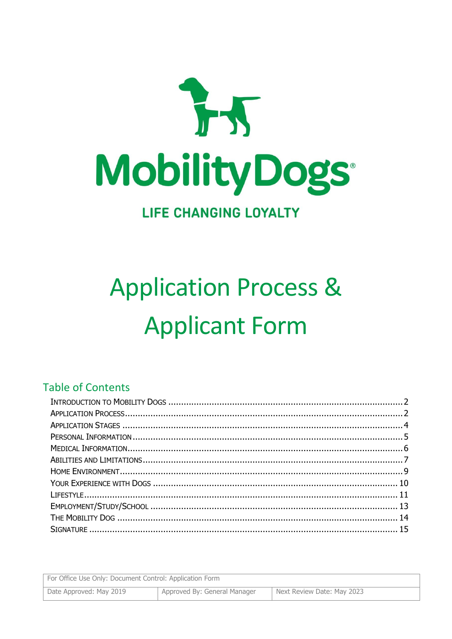

## **LIFE CHANGING LOYALTY**

# **Application Process & Applicant Form**

## **Table of Contents**

| For Office Use Only: Document Control: Application Form |                              |                            |  |  |
|---------------------------------------------------------|------------------------------|----------------------------|--|--|
| Date Approved: May 2019                                 | Approved By: General Manager | Next Review Date: May 2023 |  |  |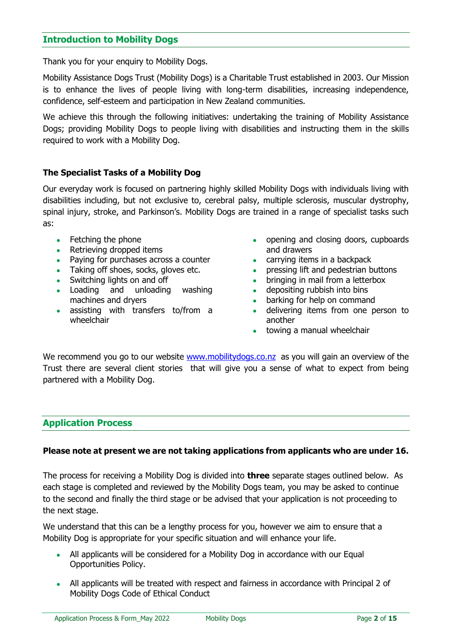#### <span id="page-1-0"></span>**Introduction to Mobility Dogs**

Thank you for your enquiry to Mobility Dogs.

Mobility Assistance Dogs Trust (Mobility Dogs) is a Charitable Trust established in 2003. Our Mission is to enhance the lives of people living with long-term disabilities, increasing independence, confidence, self-esteem and participation in New Zealand communities.

We achieve this through the following initiatives: undertaking the training of Mobility Assistance Dogs; providing Mobility Dogs to people living with disabilities and instructing them in the skills required to work with a Mobility Dog.

#### **The Specialist Tasks of a Mobility Dog**

Our everyday work is focused on partnering highly skilled Mobility Dogs with individuals living with disabilities including, but not exclusive to, cerebral palsy, multiple sclerosis, muscular dystrophy, spinal injury, stroke, and Parkinson's. Mobility Dogs are trained in a range of specialist tasks such as:

- Fetching the phone
- Retrieving dropped items
- Paying for purchases across a counter
- Taking off shoes, socks, gloves etc.
- Switching lights on and off
- Loading and unloading washing machines and dryers
- assisting with transfers to/from a wheelchair
- opening and closing doors, cupboards and drawers
- carrying items in a backpack
- pressing lift and pedestrian buttons
- bringing in mail from a letterbox
- depositing rubbish into bins
- barking for help on command
- delivering items from one person to another
- towing a manual wheelchair

We recommend you go to our website [www.mobilitydogs.co.nz](http://www.mobilitydogs.co.nz/) as you will gain an overview of the Trust there are several client stories that will give you a sense of what to expect from being partnered with a Mobility Dog.

#### <span id="page-1-1"></span>**Application Process**

#### **Please note at present we are not taking applications from applicants who are under 16.**

The process for receiving a Mobility Dog is divided into **three** separate stages outlined below. As each stage is completed and reviewed by the Mobility Dogs team, you may be asked to continue to the second and finally the third stage or be advised that your application is not proceeding to the next stage.

We understand that this can be a lengthy process for you, however we aim to ensure that a Mobility Dog is appropriate for your specific situation and will enhance your life.

- All applicants will be considered for a Mobility Dog in accordance with our Equal Opportunities Policy.
- All applicants will be treated with respect and fairness in accordance with Principal 2 of Mobility Dogs Code of Ethical Conduct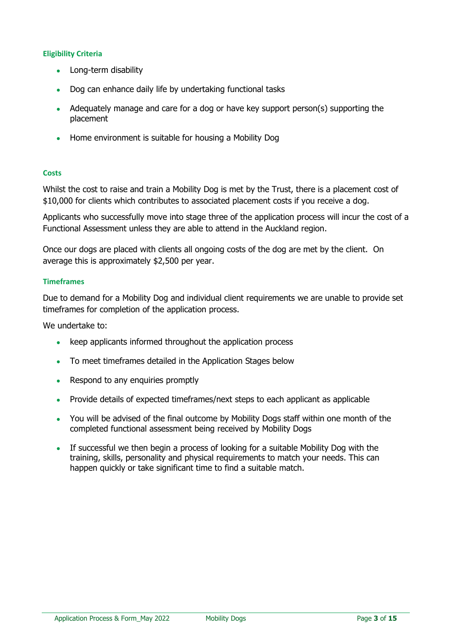#### **Eligibility Criteria**

- Long-term disability
- Dog can enhance daily life by undertaking functional tasks
- Adequately manage and care for a dog or have key support person(s) supporting the placement
- Home environment is suitable for housing a Mobility Dog

#### **Costs**

Whilst the cost to raise and train a Mobility Dog is met by the Trust, there is a placement cost of \$10,000 for clients which contributes to associated placement costs if you receive a dog.

Applicants who successfully move into stage three of the application process will incur the cost of a Functional Assessment unless they are able to attend in the Auckland region.

Once our dogs are placed with clients all ongoing costs of the dog are met by the client. On average this is approximately \$2,500 per year.

#### **Timeframes**

Due to demand for a Mobility Dog and individual client requirements we are unable to provide set timeframes for completion of the application process.

We undertake to:

- keep applicants informed throughout the application process
- To meet timeframes detailed in the Application Stages below
- Respond to any enquiries promptly
- Provide details of expected timeframes/next steps to each applicant as applicable
- You will be advised of the final outcome by Mobility Dogs staff within one month of the completed functional assessment being received by Mobility Dogs
- If successful we then begin a process of looking for a suitable Mobility Dog with the training, skills, personality and physical requirements to match your needs. This can happen quickly or take significant time to find a suitable match.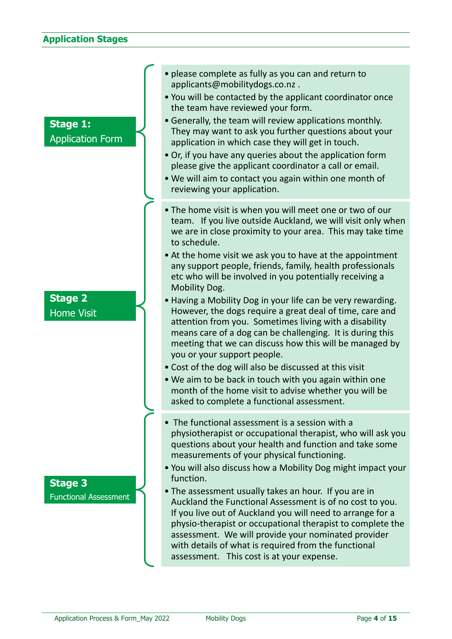## <span id="page-3-0"></span>**Application Stages**

| <b>Stage 1:</b><br><b>Application Form</b>     | · please complete as fully as you can and return to<br>applicants@mobilitydogs.co.nz.<br>• You will be contacted by the applicant coordinator once<br>the team have reviewed your form.<br>• Generally, the team will review applications monthly.<br>They may want to ask you further questions about your<br>application in which case they will get in touch.<br>. Or, if you have any queries about the application form<br>please give the applicant coordinator a call or email.<br>• We will aim to contact you again within one month of<br>reviewing your application.                                                                                                                                                                                                                                                                                                                                                                                                    |
|------------------------------------------------|------------------------------------------------------------------------------------------------------------------------------------------------------------------------------------------------------------------------------------------------------------------------------------------------------------------------------------------------------------------------------------------------------------------------------------------------------------------------------------------------------------------------------------------------------------------------------------------------------------------------------------------------------------------------------------------------------------------------------------------------------------------------------------------------------------------------------------------------------------------------------------------------------------------------------------------------------------------------------------|
| <b>Stage 2</b><br><b>Home Visit</b>            | • The home visit is when you will meet one or two of our<br>team. If you live outside Auckland, we will visit only when<br>we are in close proximity to your area. This may take time<br>to schedule.<br>• At the home visit we ask you to have at the appointment<br>any support people, friends, family, health professionals<br>etc who will be involved in you potentially receiving a<br>Mobility Dog.<br>• Having a Mobility Dog in your life can be very rewarding.<br>However, the dogs require a great deal of time, care and<br>attention from you. Sometimes living with a disability<br>means care of a dog can be challenging. It is during this<br>meeting that we can discuss how this will be managed by<br>you or your support people.<br>• Cost of the dog will also be discussed at this visit<br>• We aim to be back in touch with you again within one<br>month of the home visit to advise whether you will be<br>asked to complete a functional assessment. |
| <b>Stage 3</b><br><b>Functional Assessment</b> | • The functional assessment is a session with a<br>physiotherapist or occupational therapist, who will ask you<br>questions about your health and function and take some<br>measurements of your physical functioning.<br>• You will also discuss how a Mobility Dog might impact your<br>function.<br>• The assessment usually takes an hour. If you are in<br>Auckland the Functional Assessment is of no cost to you.<br>If you live out of Auckland you will need to arrange for a<br>physio-therapist or occupational therapist to complete the<br>assessment. We will provide your nominated provider<br>with details of what is required from the functional<br>assessment. This cost is at your expense.                                                                                                                                                                                                                                                                   |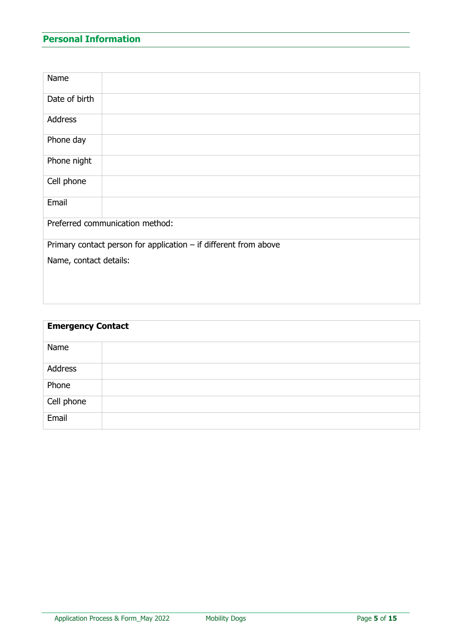## <span id="page-4-0"></span>**Personal Information**

| Name                                                               |                                 |  |  |
|--------------------------------------------------------------------|---------------------------------|--|--|
| Date of birth                                                      |                                 |  |  |
| <b>Address</b>                                                     |                                 |  |  |
| Phone day                                                          |                                 |  |  |
| Phone night                                                        |                                 |  |  |
| Cell phone                                                         |                                 |  |  |
| Email                                                              |                                 |  |  |
|                                                                    | Preferred communication method: |  |  |
| Primary contact person for application $-$ if different from above |                                 |  |  |
| Name, contact details:                                             |                                 |  |  |
|                                                                    |                                 |  |  |
|                                                                    |                                 |  |  |

| <b>Emergency Contact</b> |  |
|--------------------------|--|
| Name                     |  |
| Address                  |  |
| Phone                    |  |
| Cell phone               |  |
| Email                    |  |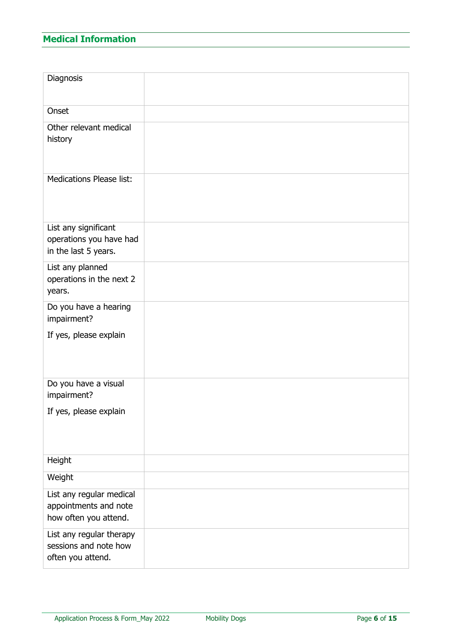## <span id="page-5-0"></span>**Medical Information**

| Diagnosis                                                                  |  |
|----------------------------------------------------------------------------|--|
| Onset                                                                      |  |
| Other relevant medical<br>history                                          |  |
| <b>Medications Please list:</b>                                            |  |
| List any significant<br>operations you have had<br>in the last 5 years.    |  |
| List any planned<br>operations in the next 2<br>years.                     |  |
| Do you have a hearing<br>impairment?                                       |  |
| If yes, please explain                                                     |  |
| Do you have a visual<br>impairment?                                        |  |
| If yes, please explain                                                     |  |
| Height                                                                     |  |
| Weight                                                                     |  |
| List any regular medical<br>appointments and note<br>how often you attend. |  |
| List any regular therapy<br>sessions and note how<br>often you attend.     |  |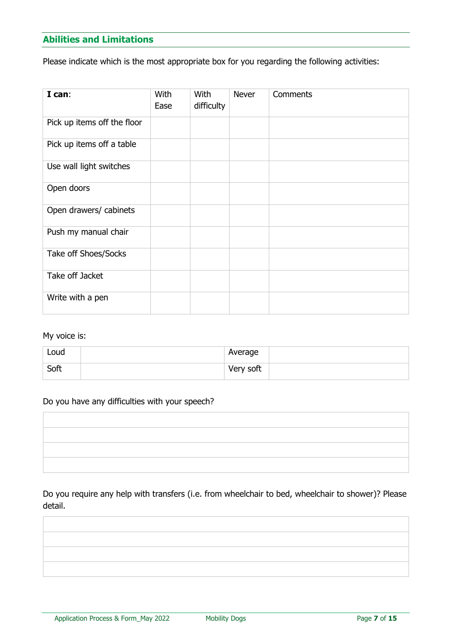## <span id="page-6-0"></span>**Abilities and Limitations**

Please indicate which is the most appropriate box for you regarding the following activities:

| I can:                      | With<br>Ease | With<br>difficulty | <b>Never</b> | <b>Comments</b> |
|-----------------------------|--------------|--------------------|--------------|-----------------|
| Pick up items off the floor |              |                    |              |                 |
| Pick up items off a table   |              |                    |              |                 |
| Use wall light switches     |              |                    |              |                 |
| Open doors                  |              |                    |              |                 |
| Open drawers/ cabinets      |              |                    |              |                 |
| Push my manual chair        |              |                    |              |                 |
| Take off Shoes/Socks        |              |                    |              |                 |
| Take off Jacket             |              |                    |              |                 |
| Write with a pen            |              |                    |              |                 |

#### My voice is:

| Loud | Average   |  |
|------|-----------|--|
| Soft | Very soft |  |

#### Do you have any difficulties with your speech?

Do you require any help with transfers (i.e. from wheelchair to bed, wheelchair to shower)? Please detail.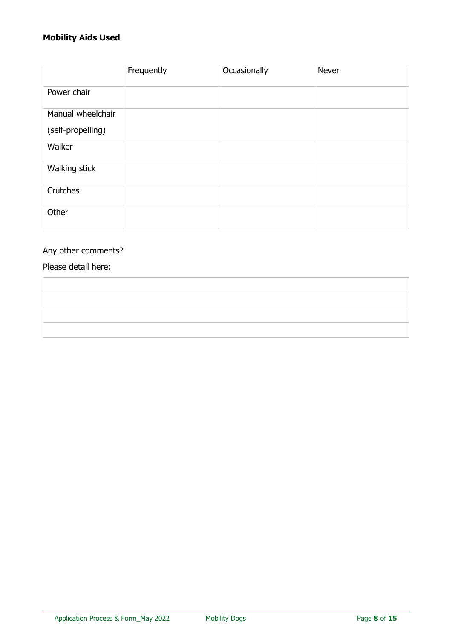## **Mobility Aids Used**

|                   | Frequently | Occasionally | <b>Never</b> |
|-------------------|------------|--------------|--------------|
| Power chair       |            |              |              |
| Manual wheelchair |            |              |              |
| (self-propelling) |            |              |              |
| Walker            |            |              |              |
| Walking stick     |            |              |              |
| Crutches          |            |              |              |
| Other             |            |              |              |

## Any other comments?

## Please detail here: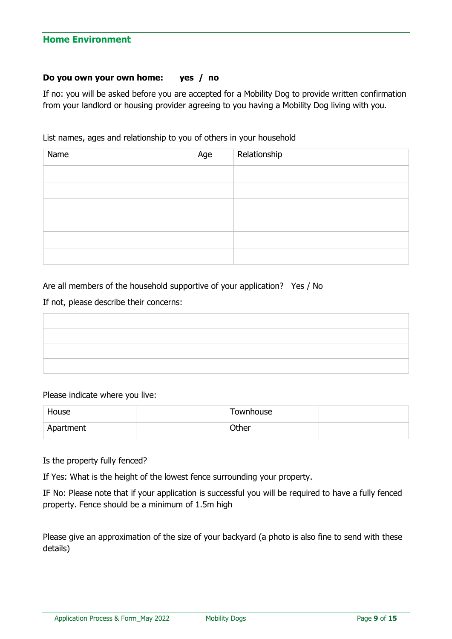#### <span id="page-8-0"></span>**Home Environment**

#### **Do you own your own home: yes / no**

If no: you will be asked before you are accepted for a Mobility Dog to provide written confirmation from your landlord or housing provider agreeing to you having a Mobility Dog living with you.

List names, ages and relationship to you of others in your household

| Name | Age | Relationship |
|------|-----|--------------|
|      |     |              |
|      |     |              |
|      |     |              |
|      |     |              |
|      |     |              |
|      |     |              |

Are all members of the household supportive of your application? Yes / No

If not, please describe their concerns:

Please indicate where you live:

| House     | Townhouse |  |
|-----------|-----------|--|
| Apartment | Other     |  |

Is the property fully fenced?

If Yes: What is the height of the lowest fence surrounding your property.

IF No: Please note that if your application is successful you will be required to have a fully fenced property. Fence should be a minimum of 1.5m high

Please give an approximation of the size of your backyard (a photo is also fine to send with these details)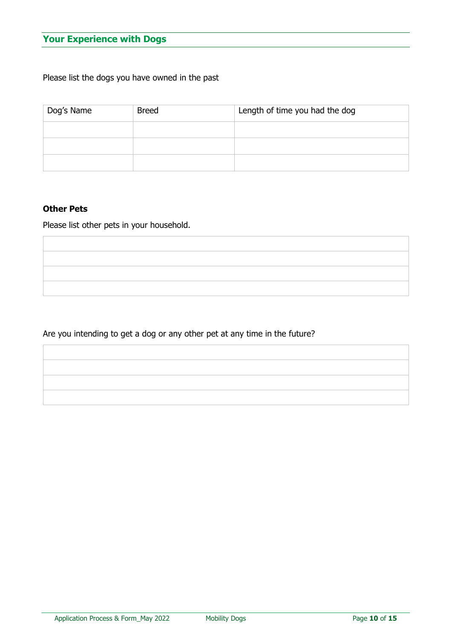## <span id="page-9-0"></span>**Your Experience with Dogs**

Please list the dogs you have owned in the past

| Dog's Name | <b>Breed</b> | Length of time you had the dog |
|------------|--------------|--------------------------------|
|            |              |                                |
|            |              |                                |
|            |              |                                |

#### **Other Pets**

Please list other pets in your household.

## Are you intending to get a dog or any other pet at any time in the future?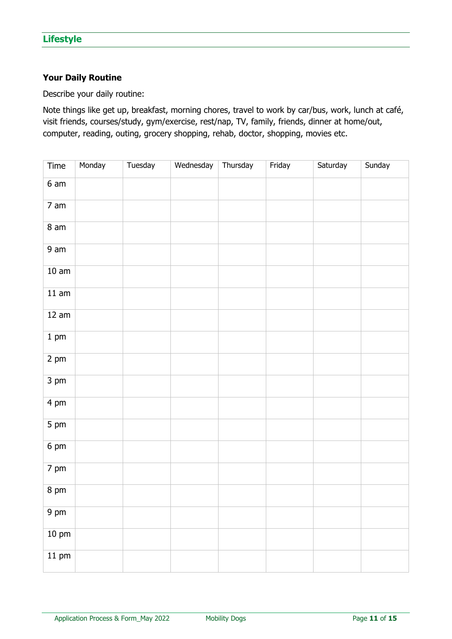## <span id="page-10-0"></span>**Lifestyle**

#### **Your Daily Routine**

Describe your daily routine:

Note things like get up, breakfast, morning chores, travel to work by car/bus, work, lunch at café, visit friends, courses/study, gym/exercise, rest/nap, TV, family, friends, dinner at home/out, computer, reading, outing, grocery shopping, rehab, doctor, shopping, movies etc.

| Time                       | Monday | Tuesday | Wednesday | Thursday | Friday | Saturday | Sunday |
|----------------------------|--------|---------|-----------|----------|--------|----------|--------|
| 6 am                       |        |         |           |          |        |          |        |
| $7$ am                     |        |         |           |          |        |          |        |
| 8 <sub>am</sub>            |        |         |           |          |        |          |        |
| 9 am                       |        |         |           |          |        |          |        |
| $10 \text{ am}$            |        |         |           |          |        |          |        |
| $11$ am                    |        |         |           |          |        |          |        |
| 12 am                      |        |         |           |          |        |          |        |
| $1 \text{ pm}$             |        |         |           |          |        |          |        |
| 2 pm                       |        |         |           |          |        |          |        |
| 3 pm                       |        |         |           |          |        |          |        |
| 4 pm                       |        |         |           |          |        |          |        |
| $5 \text{ pm}$             |        |         |           |          |        |          |        |
| 6 pm                       |        |         |           |          |        |          |        |
| 7 pm                       |        |         |           |          |        |          |        |
| 8 pm                       |        |         |           |          |        |          |        |
| 9 pm                       |        |         |           |          |        |          |        |
| $10 \text{ pm}$            |        |         |           |          |        |          |        |
| $\overline{11 \text{ pm}}$ |        |         |           |          |        |          |        |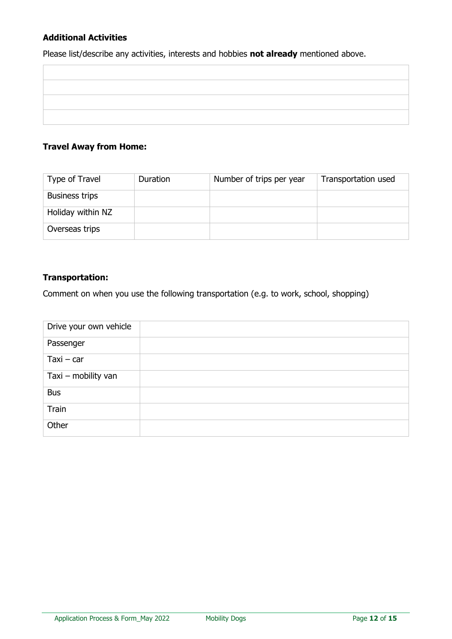#### **Additional Activities**

Please list/describe any activities, interests and hobbies **not already** mentioned above.

## **Travel Away from Home:**

| Type of Travel        | <b>Duration</b> | Number of trips per year | Transportation used |
|-----------------------|-----------------|--------------------------|---------------------|
| <b>Business trips</b> |                 |                          |                     |
| Holiday within NZ     |                 |                          |                     |
| Overseas trips        |                 |                          |                     |

#### **Transportation:**

Comment on when you use the following transportation (e.g. to work, school, shopping)

| Drive your own vehicle |  |
|------------------------|--|
| Passenger              |  |
| $Taxi - car$           |  |
| Taxi - mobility van    |  |
| <b>Bus</b>             |  |
| Train                  |  |
| Other                  |  |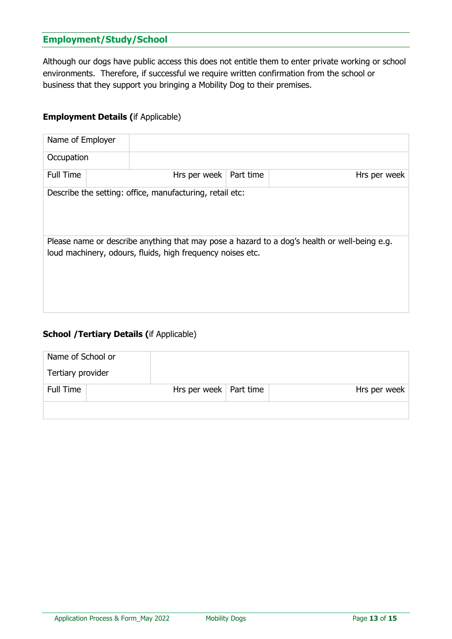### <span id="page-12-0"></span>**Employment/Study/School**

Although our dogs have public access this does not entitle them to enter private working or school environments. Therefore, if successful we require written confirmation from the school or business that they support you bringing a Mobility Dog to their premises.

#### **Employment Details (**if Applicable)

| Name of Employer |                                                            |                                                                                              |
|------------------|------------------------------------------------------------|----------------------------------------------------------------------------------------------|
| Occupation       |                                                            |                                                                                              |
| <b>Full Time</b> | Hrs per week $\vert$ Part time                             | Hrs per week                                                                                 |
|                  | Describe the setting: office, manufacturing, retail etc:   |                                                                                              |
|                  | loud machinery, odours, fluids, high frequency noises etc. | Please name or describe anything that may pose a hazard to a dog's health or well-being e.g. |

#### **School /Tertiary Details (**if Applicable)

| Name of School or |                                |              |
|-------------------|--------------------------------|--------------|
| Tertiary provider |                                |              |
| Full Time         | Hrs per week $\vert$ Part time | Hrs per week |
|                   |                                |              |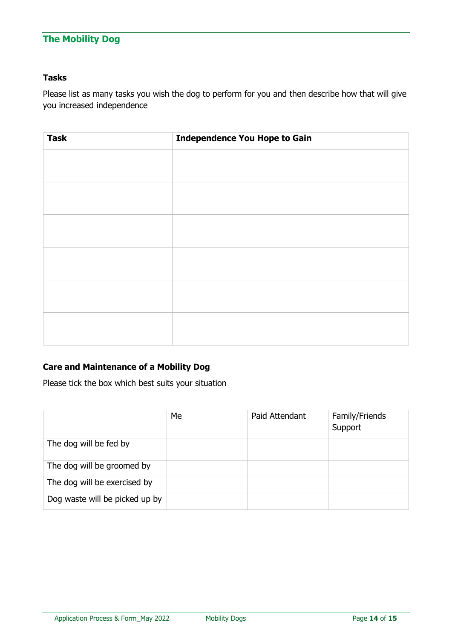## <span id="page-13-0"></span>**The Mobility Dog**

#### **Tasks**

Please list as many tasks you wish the dog to perform for you and then describe how that will give you increased independence

| <b>Task</b> | <b>Independence You Hope to Gain</b> |
|-------------|--------------------------------------|
|             |                                      |
|             |                                      |
|             |                                      |
|             |                                      |
|             |                                      |
|             |                                      |
|             |                                      |
|             |                                      |
|             |                                      |
|             |                                      |
|             |                                      |
|             |                                      |

#### **Care and Maintenance of a Mobility Dog**

Please tick the box which best suits your situation

|                                | Me | Paid Attendant | Family/Friends<br>Support |
|--------------------------------|----|----------------|---------------------------|
| The dog will be fed by         |    |                |                           |
| The dog will be groomed by     |    |                |                           |
| The dog will be exercised by   |    |                |                           |
| Dog waste will be picked up by |    |                |                           |